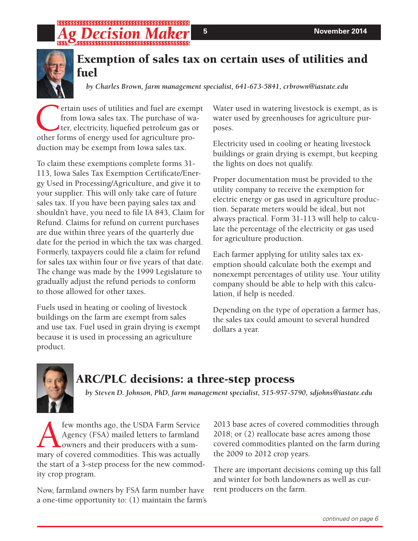# ;\$\$\$\$\$\$\$\$\$\$\$\$\$\$\$\$\$\$\$\$\$\$\$\$\$\$\$\$\$\$\$\$\$\$\$\$\$



### **Exemption of sales tax on certain uses of utilities and fuel**

*by Charles Brown, farm management specialist, 641-673-5841, crbrown@iastate.edu*

ertain uses of utilities and fuel are exempt from Iowa sales tax. The purchase of water, electricity, liquefied petroleum gas or other forms of energy used for agriculture production may be exempt from Iowa sales tax.

To claim these exemptions complete forms 31- 113, Iowa Sales Tax Exemption Certificate/Energy Used in Processing/Agriculture, and give it to your supplier. This will only take care of future sales tax. If you have been paying sales tax and shouldn't have, you need to file IA 843, Claim for Refund. Claims for refund on current purchases are due within three years of the quarterly due date for the period in which the tax was charged. Formerly, taxpayers could file a claim for refund for sales tax within four or five years of that date. The change was made by the 1999 Legislature to gradually adjust the refund periods to conform to those allowed for other taxes.

Fuels used in heating or cooling of livestock buildings on the farm are exempt from sales and use tax. Fuel used in grain drying is exempt because it is used in processing an agriculture product.

Water used in watering livestock is exempt, as is water used by greenhouses for agriculture purposes.

Electricity used in cooling or heating livestock buildings or grain drying is exempt, but keeping the lights on does not qualify.

Proper documentation must be provided to the utility company to receive the exemption for electric energy or gas used in agriculture production. Separate meters would be ideal, but not always practical. Form 31-113 will help to calculate the percentage of the electricity or gas used for agriculture production.

Each farmer applying for utility sales tax exemption should calculate both the exempt and nonexempt percentages of utility use. Your utility company should be able to help with this calculation, if help is needed.

Depending on the type of operation a farmer has, the sales tax could amount to several hundred dollars a year.



# **ARC/PLC decisions: a three-step process**

*by Steven D. Johnson, PhD, farm management specialist, 515-957-5790, sdjohns@iastate.edu*

**Algency (FSA)** mailed letters to farmland<br>Agency (FSA) mailed letters to farmland<br>owners and their producers with a sum-<br>mary of covered commodities. This was actually Agency (FSA) mailed letters to farmland owners and their producers with a summary of covered commodities. This was actually the start of a 3-step process for the new commodity crop program.

Now, farmland owners by FSA farm number have a one-time opportunity to: (1) maintain the farm's 2013 base acres of covered commodities through 2018; or (2) reallocate base acres among those covered commodities planted on the farm during the 2009 to 2012 crop years.

There are important decisions coming up this fall and winter for both landowners as well as current producers on the farm.